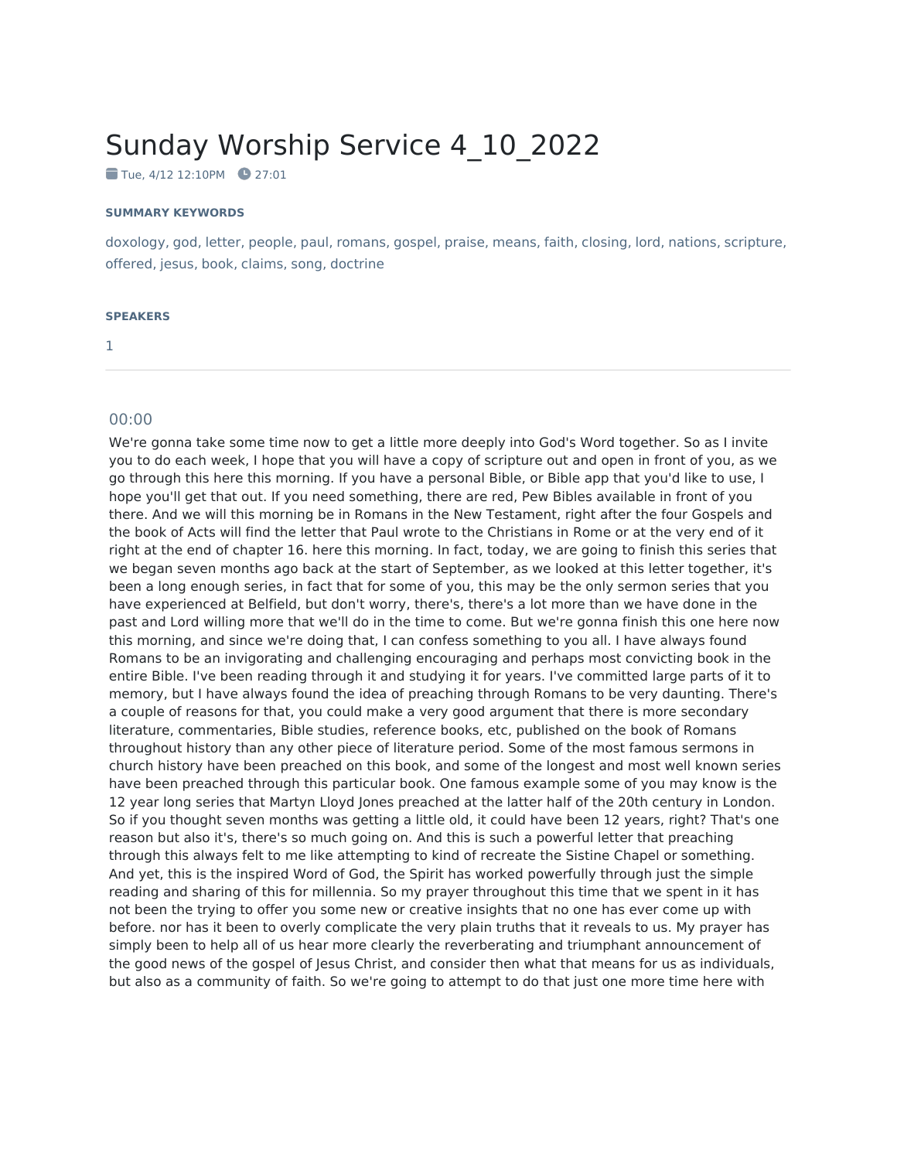## Sunday Worship Service 4\_10\_2022

Tue, 4/12 12:10PM 27:01

## **SUMMARY KEYWORDS**

doxology, god, letter, people, paul, romans, gospel, praise, means, faith, closing, lord, nations, scripture, offered, jesus, book, claims, song, doctrine

## **SPEAKERS**

1

## 00:00

We're gonna take some time now to get a little more deeply into God's Word together. So as I invite you to do each week, I hope that you will have a copy of scripture out and open in front of you, as we go through this here this morning. If you have a personal Bible, or Bible app that you'd like to use, I hope you'll get that out. If you need something, there are red, Pew Bibles available in front of you there. And we will this morning be in Romans in the New Testament, right after the four Gospels and the book of Acts will find the letter that Paul wrote to the Christians in Rome or at the very end of it right at the end of chapter 16. here this morning. In fact, today, we are going to finish this series that we began seven months ago back at the start of September, as we looked at this letter together, it's been a long enough series, in fact that for some of you, this may be the only sermon series that you have experienced at Belfield, but don't worry, there's, there's a lot more than we have done in the past and Lord willing more that we'll do in the time to come. But we're gonna finish this one here now this morning, and since we're doing that, I can confess something to you all. I have always found Romans to be an invigorating and challenging encouraging and perhaps most convicting book in the entire Bible. I've been reading through it and studying it for years. I've committed large parts of it to memory, but I have always found the idea of preaching through Romans to be very daunting. There's a couple of reasons for that, you could make a very good argument that there is more secondary literature, commentaries, Bible studies, reference books, etc, published on the book of Romans throughout history than any other piece of literature period. Some of the most famous sermons in church history have been preached on this book, and some of the longest and most well known series have been preached through this particular book. One famous example some of you may know is the 12 year long series that Martyn Lloyd Jones preached at the latter half of the 20th century in London. So if you thought seven months was getting a little old, it could have been 12 years, right? That's one reason but also it's, there's so much going on. And this is such a powerful letter that preaching through this always felt to me like attempting to kind of recreate the Sistine Chapel or something. And yet, this is the inspired Word of God, the Spirit has worked powerfully through just the simple reading and sharing of this for millennia. So my prayer throughout this time that we spent in it has not been the trying to offer you some new or creative insights that no one has ever come up with before. nor has it been to overly complicate the very plain truths that it reveals to us. My prayer has simply been to help all of us hear more clearly the reverberating and triumphant announcement of the good news of the gospel of Jesus Christ, and consider then what that means for us as individuals, but also as a community of faith. So we're going to attempt to do that just one more time here with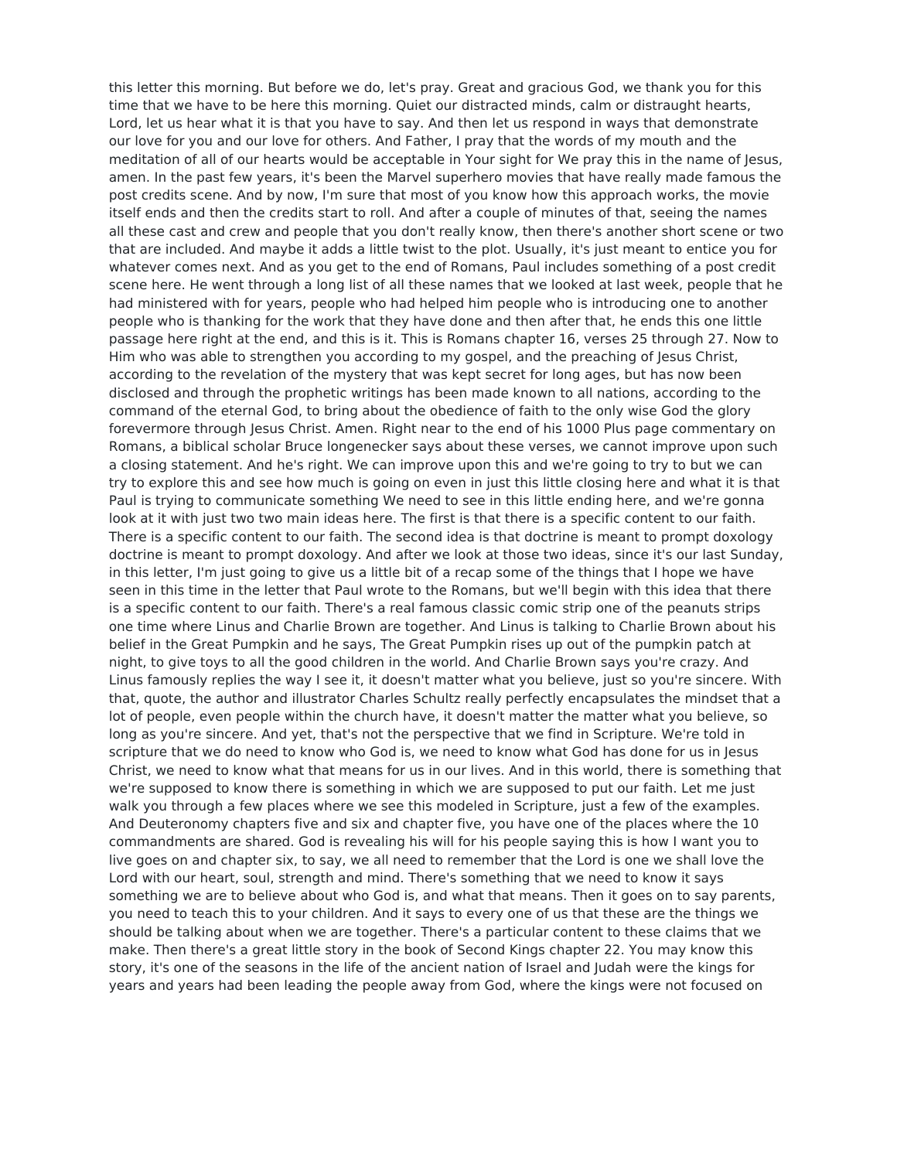this letter this morning. But before we do, let's pray. Great and gracious God, we thank you for this time that we have to be here this morning. Quiet our distracted minds, calm or distraught hearts, Lord, let us hear what it is that you have to say. And then let us respond in ways that demonstrate our love for you and our love for others. And Father, I pray that the words of my mouth and the meditation of all of our hearts would be acceptable in Your sight for We pray this in the name of Jesus, amen. In the past few years, it's been the Marvel superhero movies that have really made famous the post credits scene. And by now, I'm sure that most of you know how this approach works, the movie itself ends and then the credits start to roll. And after a couple of minutes of that, seeing the names all these cast and crew and people that you don't really know, then there's another short scene or two that are included. And maybe it adds a little twist to the plot. Usually, it's just meant to entice you for whatever comes next. And as you get to the end of Romans, Paul includes something of a post credit scene here. He went through a long list of all these names that we looked at last week, people that he had ministered with for years, people who had helped him people who is introducing one to another people who is thanking for the work that they have done and then after that, he ends this one little passage here right at the end, and this is it. This is Romans chapter 16, verses 25 through 27. Now to Him who was able to strengthen you according to my gospel, and the preaching of Jesus Christ, according to the revelation of the mystery that was kept secret for long ages, but has now been disclosed and through the prophetic writings has been made known to all nations, according to the command of the eternal God, to bring about the obedience of faith to the only wise God the glory forevermore through Jesus Christ. Amen. Right near to the end of his 1000 Plus page commentary on Romans, a biblical scholar Bruce longenecker says about these verses, we cannot improve upon such a closing statement. And he's right. We can improve upon this and we're going to try to but we can try to explore this and see how much is going on even in just this little closing here and what it is that Paul is trying to communicate something We need to see in this little ending here, and we're gonna look at it with just two two main ideas here. The first is that there is a specific content to our faith. There is a specific content to our faith. The second idea is that doctrine is meant to prompt doxology doctrine is meant to prompt doxology. And after we look at those two ideas, since it's our last Sunday, in this letter, I'm just going to give us a little bit of a recap some of the things that I hope we have seen in this time in the letter that Paul wrote to the Romans, but we'll begin with this idea that there is a specific content to our faith. There's a real famous classic comic strip one of the peanuts strips one time where Linus and Charlie Brown are together. And Linus is talking to Charlie Brown about his belief in the Great Pumpkin and he says, The Great Pumpkin rises up out of the pumpkin patch at night, to give toys to all the good children in the world. And Charlie Brown says you're crazy. And Linus famously replies the way I see it, it doesn't matter what you believe, just so you're sincere. With that, quote, the author and illustrator Charles Schultz really perfectly encapsulates the mindset that a lot of people, even people within the church have, it doesn't matter the matter what you believe, so long as you're sincere. And yet, that's not the perspective that we find in Scripture. We're told in scripture that we do need to know who God is, we need to know what God has done for us in Jesus Christ, we need to know what that means for us in our lives. And in this world, there is something that we're supposed to know there is something in which we are supposed to put our faith. Let me just walk you through a few places where we see this modeled in Scripture, just a few of the examples. And Deuteronomy chapters five and six and chapter five, you have one of the places where the 10 commandments are shared. God is revealing his will for his people saying this is how Iwant you to live goes on and chapter six, to say, we all need to remember that the Lord is one we shall love the Lord with our heart, soul, strength and mind. There's something that we need to know it says something we are to believe about who God is, and what that means. Then it goes on to say parents, you need to teach this to your children. And it says to every one of us that these are the things we should be talking about when we are together. There's a particular content to these claims that we make. Then there's a great little story in the book of Second Kings chapter 22. You may know this story, it's one of the seasons in the life of the ancient nation of Israel and Judah were the kings for years and years had been leading the people away from God, where the kings were not focused on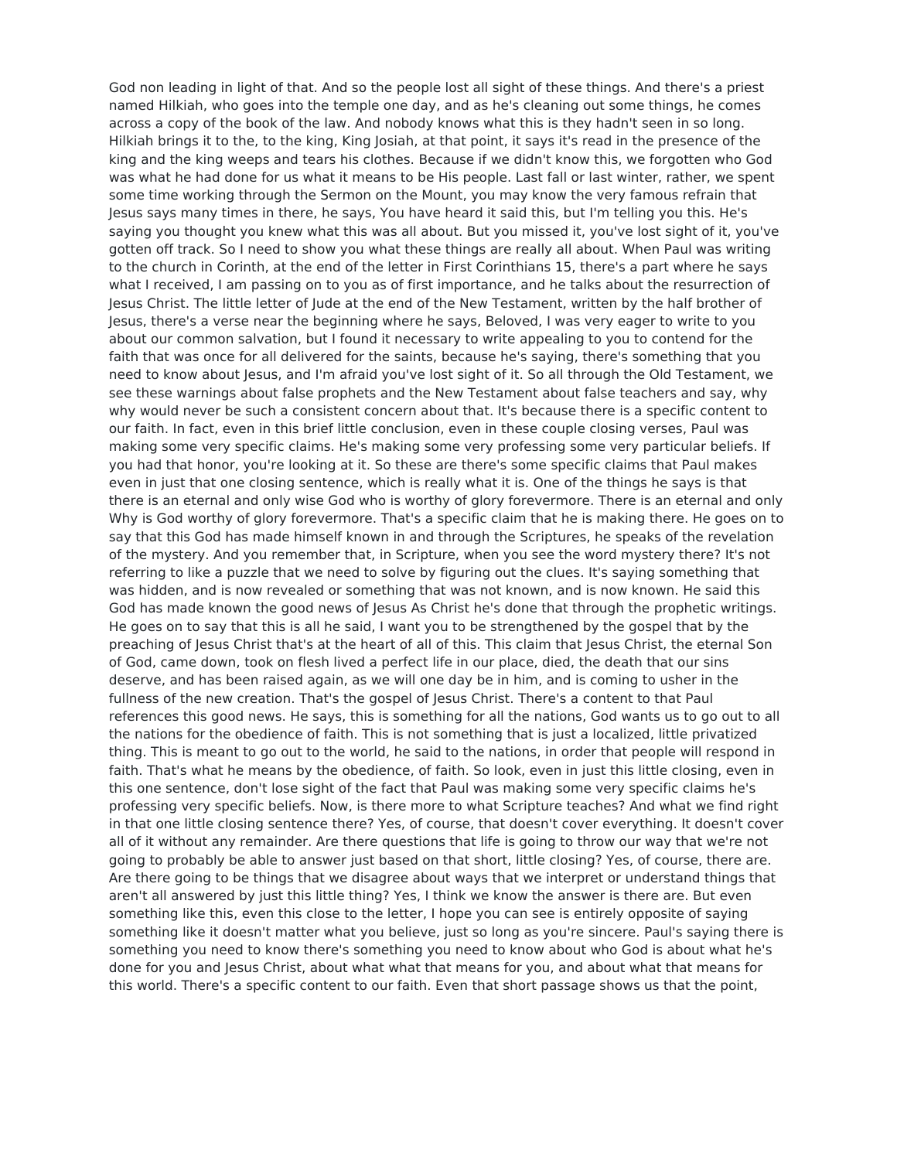God non leading in light of that. And so the people lost all sight of these things. And there's a priest named Hilkiah, who goes into the temple one day, and as he's cleaning out some things, he comes across a copy of the book of the law. And nobody knows what this is they hadn't seen in so long. Hilkiah brings it to the, to the king, King Josiah, at that point, it says it's read in the presence of the king and the king weeps and tears his clothes. Because if we didn't know this, we forgotten who God was what he had done for us what it means to be His people. Last fall or last winter, rather, we spent some time working through the Sermon on the Mount, you may know the very famous refrain that Jesus says many times in there, he says, You have heard it said this, but I'm telling you this. He's saying you thought you knew what this was all about. But you missed it, you've lost sight of it, you've gotten off track. So I need to show you what these things are really all about. When Paul was writing to the church in Corinth, at the end of the letter in First Corinthians 15, there's a part where he says what I received, I am passing on to you as of first importance, and he talks about the resurrection of Jesus Christ. The little letter of Jude at the end of the New Testament, written by the half brother of Jesus, there's a verse near the beginning where he says, Beloved, I was very eager to write to you about our common salvation, but I found it necessary to write appealing to you to contend for the faith that was once for all delivered for the saints, because he's saying, there's something that you need to know about Jesus, and I'm afraid you've lost sight of it. So all through the Old Testament, we see these warnings about false prophets and the New Testament about false teachers and say, why why would never be such a consistent concern about that. It's because there is a specific content to our faith. In fact, even in this brief little conclusion, even in these couple closing verses, Paul was making some very specific claims. He's making some very professing some very particular beliefs. If you had that honor, you're looking at it. So these are there's some specific claims that Paul makes even in just that one closing sentence, which is really what it is. One of the things he says is that there is an eternal and only wise God who is worthy of glory forevermore. There is an eternal and only Why is God worthy of glory forevermore. That's a specific claim that he is making there. He goes on to say that this God has made himself known in and through the Scriptures, he speaks of the revelation of the mystery. And you remember that, in Scripture, when you see the word mystery there? It's not referring to like a puzzle that we need to solve by figuring out the clues. It's saying something that was hidden, and is now revealed or something that was not known, and is now known. He said this God has made known the good news of Jesus As Christ he's done that through the prophetic writings. He goes on to say that this is all he said, I want you to be strengthened by the gospel that by the preaching of Jesus Christ that's at the heart of all of this. This claim that Jesus Christ, the eternal Son of God, came down, took on flesh lived a perfect life in our place, died, the death that our sins deserve, and has been raised again, as we will one day be in him, and is coming to usher in the fullness of the new creation. That's the gospel of Jesus Christ. There's a content to that Paul references this good news. He says, this is something for all the nations, God wants us to go out to all the nations for the obedience of faith. This is not something that is just a localized, little privatized thing. This is meant to go out to the world, he said to the nations, in order that people will respond in faith. That's what he means by the obedience, of faith. So look, even in just this little closing, even in this one sentence, don't lose sight of the fact that Paul was making some very specific claims he's professing very specific beliefs. Now, is there more to what Scripture teaches? And what we find right in that one little closing sentence there? Yes, of course, that doesn't cover everything. It doesn't cover all of it without any remainder. Are there questions that life is going to throw our way that we're not going to probably be able to answer just based on that short, little closing? Yes, of course, there are. Are there going to be things that we disagree about ways that we interpret or understand things that aren't all answered by just this little thing? Yes, I think we know the answer is there are. But even something like this, even this close to the letter, I hope you can see is entirely opposite of saying something like it doesn't matter what you believe, just so long as you're sincere. Paul's saying there is something you need to know there's something you need to know about who God is about what he's done for you and Jesus Christ, about what what that means for you, and about what that means for this world. There's a specific content to our faith. Even that short passage shows us that the point,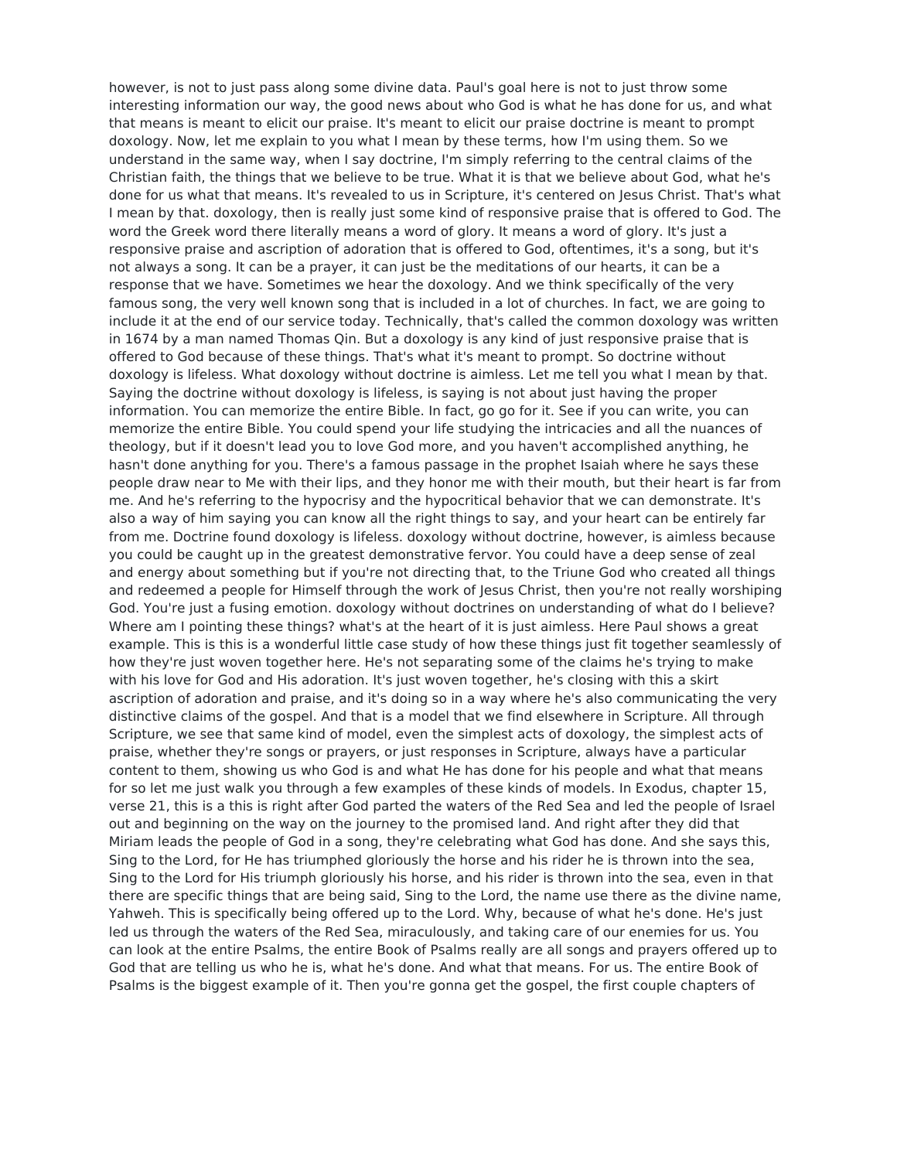however, is not to just pass along some divine data. Paul's goal here is not to just throw some interesting information our way, the good news about who God is what he has done for us, and what that means is meant to elicit our praise. It's meant to elicit our praise doctrine is meant to prompt doxology. Now, let me explain to you what I mean by these terms, how I'm using them. So we understand in the same way, when I say doctrine, I'm simply referring to the central claims of the Christian faith, the things that we believe to be true. What it is that we believe about God, what he's done for us what that means. It's revealed to us in Scripture, it's centered on Jesus Christ. That's what I mean by that. doxology, then is really just some kind of responsive praise that is offered to God. The word the Greek word there literally means a word of glory. It means a word of glory. It's just a responsive praise and ascription of adoration that is offered to God, oftentimes, it's a song, but it's not always a song. It can be a prayer, it can just be the meditations of our hearts, it can be a response that we have. Sometimes we hear the doxology. And we think specifically of the very famous song, the very well known song that is included in a lot of churches. In fact, we are going to include it at the end of our service today. Technically, that's called the common doxology was written in 1674 by a man named Thomas Qin. But a doxology is any kind of just responsive praise that is offered to God because of these things. That's what it's meant to prompt. So doctrine without doxology is lifeless. What doxology without doctrine is aimless. Let me tell you what I mean by that. Saying the doctrine without doxology is lifeless, is saying is not about just having the proper information. You can memorize the entire Bible. In fact, go go for it. See if you can write, you can memorize the entire Bible. You could spend your life studying the intricacies and all the nuances of theology, but if it doesn't lead you to love God more, and you haven't accomplished anything, he hasn't done anything for you. There's a famous passage in the prophet Isaiah where he says these people draw near to Me with their lips, and they honor me with their mouth, but their heart is far from me. And he's referring to the hypocrisy and the hypocritical behavior that we can demonstrate. It's also a way of him saying you can know all the right things to say, and your heart can be entirely far from me. Doctrine found doxology is lifeless. doxology without doctrine, however, is aimless because you could be caught up in the greatest demonstrative fervor. You could have a deep sense of zeal and energy about something but if you're not directing that, to the Triune God who created all things and redeemed a people for Himself through the work of Jesus Christ, then you're not really worshiping God. You're just a fusing emotion. doxology without doctrines on understanding of what do I believe? Where am I pointing these things? what's at the heart of it is just aimless. Here Paul shows a great example. This is this is a wonderful little case study of how these things just fit together seamlessly of how they're just woven together here. He's not separating some of the claims he's trying to make with his love for God and His adoration. It's just woven together, he's closing with this a skirt ascription of adoration and praise, and it's doing so in a way where he's also communicating the very distinctive claims of the gospel. And that is a model that we find elsewhere in Scripture. All through Scripture, we see that same kind of model, even the simplest acts of doxology, the simplest acts of praise, whether they're songs or prayers, or just responses in Scripture, always have a particular content to them, showing us who God is and what He has done for his people and what that means for so let me just walk you through a few examples of these kinds of models. In Exodus, chapter 15, verse 21, this is a this is right after God parted the waters of the Red Sea and led the people of Israel out and beginning on the way on the journey to the promised land. And right after they did that Miriam leads the people of God in a song, they're celebrating what God has done. And she says this, Sing to the Lord, for He has triumphed gloriously the horse and his rider he is thrown into the sea, Sing to the Lord for His triumph gloriously his horse, and his rider is thrown into the sea, even in that there are specific things that are being said, Sing to the Lord, the name use there as the divine name, Yahweh. This is specifically being offered up to the Lord. Why, because of what he's done. He's just led us through the waters of the Red Sea, miraculously, and taking care of our enemies for us. You can look at the entire Psalms, the entire Book of Psalms really are all songs and prayers offered up to God that are telling us who he is, what he's done. And what that means. For us. The entire Book of Psalms is the biggest example of it. Then you're gonna get the gospel, the first couple chapters of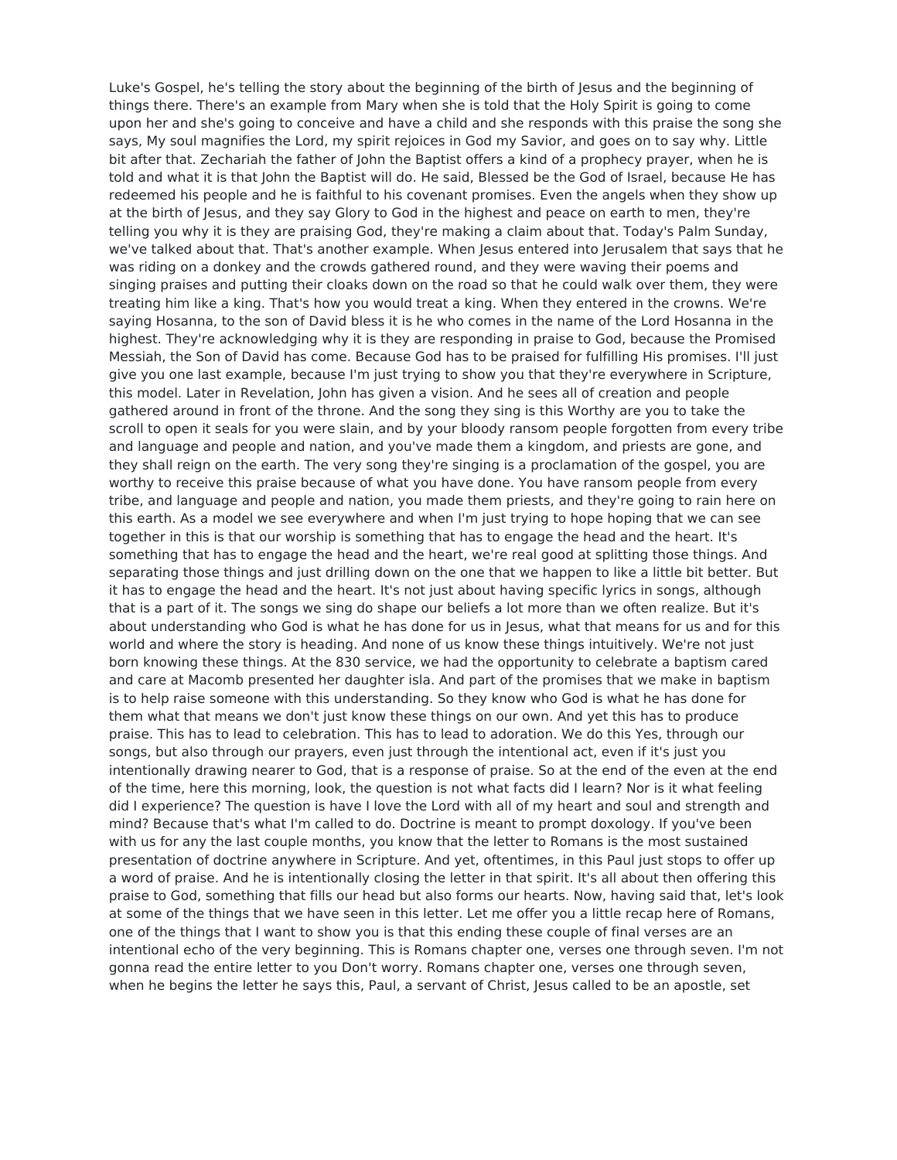Luke's Gospel, he's telling the story about the beginning of the birth of Jesus and the beginning of things there. There's an example from Mary when she is told that the Holy Spirit is going to come upon her and she's going to conceive and have a child and she responds with this praise the song she says, My soul magnifies the Lord, my spirit rejoices in God my Savior, and goes on to say why. Little bit after that. Zechariah the father of John the Baptist offers a kind of a prophecy prayer, when he is told and what it is that John the Baptist will do. He said, Blessed be the God of Israel, because He has redeemed his people and he is faithful to his covenant promises. Even the angels when they show up at the birth of Jesus, and they say Glory to God in the highest and peace on earth to men, they're telling you why it is they are praising God, they're making a claim about that. Today's Palm Sunday, we've talked about that. That's another example. When Jesus entered into Jerusalem that says that he was riding on a donkey and the crowds gathered round, and they were waving their poems and singing praises and putting their cloaks down on the road so that he could walk over them, they were treating him like a king. That's how you would treat a king. When they entered in the crowns. We're saying Hosanna, to the son of David bless it is he who comes in the name of the Lord Hosanna in the highest. They're acknowledging why it is they are responding in praise to God, because the Promised Messiah, the Son of David has come. Because God has to be praised for fulfilling His promises. I'll just give you one last example, because I'm just trying to show you that they're everywhere in Scripture, this model. Later in Revelation, John has given a vision. And he sees all of creation and people gathered around in front of the throne. And the song they sing is this Worthy are you to take the scroll to open it seals for you were slain, and by your bloody ransom people forgotten from every tribe and language and people and nation, and you've made them a kingdom, and priests are gone, and they shall reign on the earth. The very song they're singing is a proclamation of the gospel, you are worthy to receive this praise because of what you have done. You have ransom people from every tribe, and language and people and nation, you made them priests, and they're going to rain here on this earth. As a model we see everywhere and when I'm just trying to hope hoping that we can see together in this is that our worship is something that has to engage the head and the heart. It's something that has to engage the head and the heart, we're real good at splitting those things. And separating those things and just drilling down on the one that we happen to like a little bit better. But it has to engage the head and the heart. It's not just about having specific lyrics in songs, although that is a part of it. The songs we sing do shape our beliefs a lot more than we often realize. But it's about understanding who God is what he has done for us in Jesus, what that means for us and for this world and where the story is heading. And none of us know these things intuitively. We're not just born knowing these things. At the 830 service, we had the opportunity to celebrate a baptism cared and care at Macomb presented her daughter isla. And part of the promises that we make in baptism is to help raise someone with this understanding. So they know who God is what he has done for them what that means we don't just know these things on our own. And yet this has to produce praise. This has to lead to celebration. This has to lead to adoration. We do this Yes, through our songs, but also through our prayers, even just through the intentional act, even if it's just you intentionally drawing nearer to God, that is a response of praise. So at the end of the even at the end of the time, here this morning, look, the question is not what facts did I learn? Nor is it what feeling did I experience? The question is have I love the Lord with all of my heart and soul and strength and mind? Because that's what I'm called to do. Doctrine is meant to prompt doxology. If you've been with us for any the last couple months, you know that the letter to Romans is the most sustained presentation of doctrine anywhere in Scripture. And yet, oftentimes, in this Paul just stops to offer up a word of praise. And he is intentionally closing the letter in that spirit. It's all about then offering this praise to God, something that fills our head but also forms our hearts. Now, having said that, let's look at some of the things that we have seen in this letter. Let me offer you a little recap here of Romans, one of the things that I want to show you is that this ending these couple of final verses are an intentional echo of the very beginning. This is Romans chapter one, verses one through seven. I'm not gonna read the entire letter to you Don't worry. Romans chapter one, verses one through seven, when he begins the letter he says this, Paul, a servant of Christ, Jesus called to be an apostle, set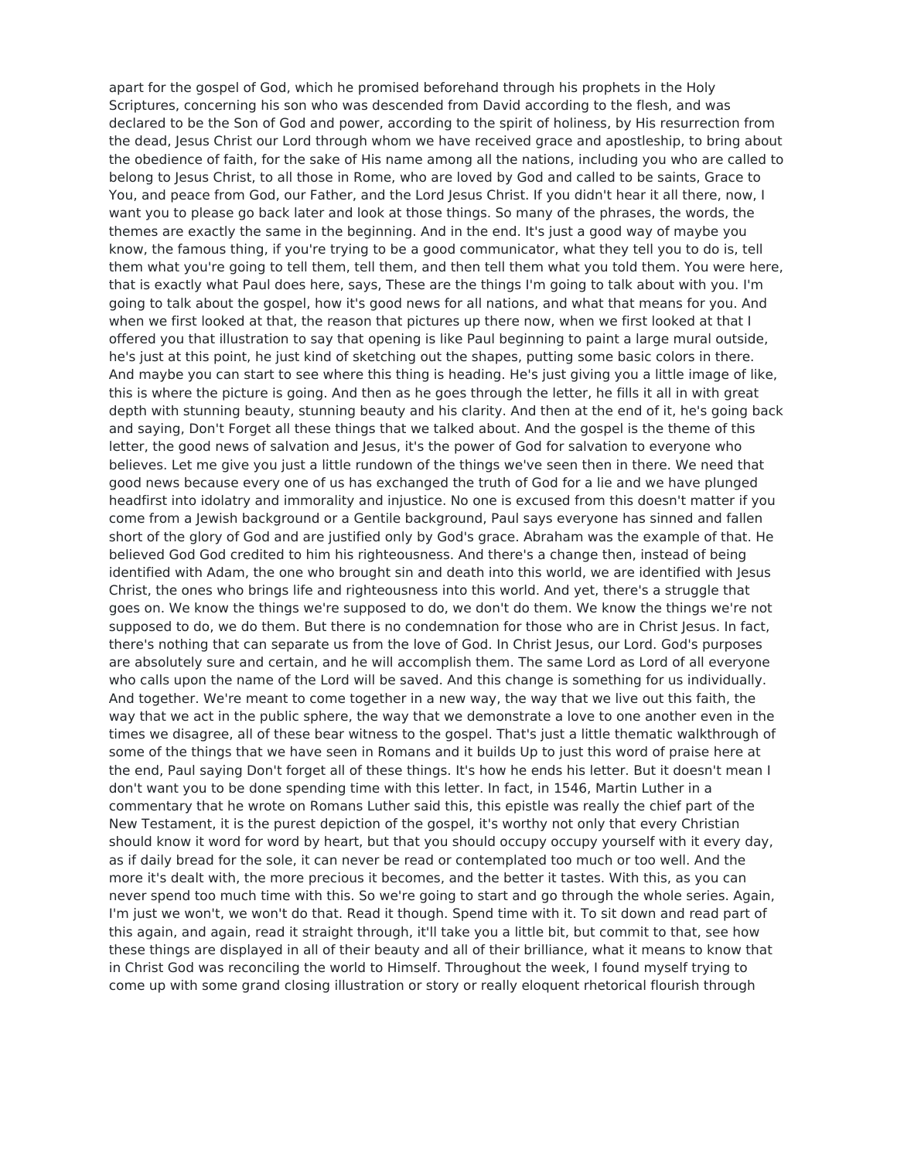apart for the gospel of God, which he promised beforehand through his prophets in the Holy Scriptures, concerning his son who was descended from David according to the flesh, and was declared to be the Son of God and power, according to the spirit of holiness, by His resurrection from the dead, Jesus Christ our Lord through whom we have received grace and apostleship, to bring about the obedience of faith, for the sake of His name among all the nations, including you who are called to belong to Jesus Christ, to all those in Rome, who are loved by God and called to be saints, Grace to You, and peace from God, our Father, and the Lord Jesus Christ. If you didn't hear it all there, now, I want you to please go back later and look at those things. So many of the phrases, the words, the themes are exactly the same in the beginning. And in the end. It's just a good way of maybe you know, the famous thing, if you're trying to be a good communicator, what they tell you to do is, tell them what you're going to tell them, tell them, and then tell them what you told them. You were here, that is exactly what Paul does here, says, These are the things I'm going to talk about with you. I'm going to talk about the gospel, how it's good news for all nations, and what that means for you. And when we first looked at that, the reason that pictures up there now, when we first looked at that I offered you that illustration to say that opening is like Paul beginning to paint a large mural outside, he's just at this point, he just kind of sketching out the shapes, putting some basic colors in there. And maybe you can start to see where this thing is heading. He's just giving you a little image of like, this is where the picture is going. And then as he goes through the letter, he fills it all in with great depth with stunning beauty, stunning beauty and his clarity. And then at the end of it, he's going back and saying, Don't Forget all these things that we talked about. And the gospel is the theme of this letter, the good news of salvation and Jesus, it's the power of God for salvation to everyone who believes. Let me give you just a little rundown of the things we've seen then in there. We need that good news because every one of us has exchanged the truth of God for a lie and we have plunged headfirst into idolatry and immorality and injustice. No one is excused from this doesn't matter if you come from a Jewish background or a Gentile background, Paul says everyone has sinned and fallen short of the glory of God and are justified only by God's grace. Abraham was the example of that. He believed God God credited to him his righteousness. And there's a change then, instead of being identified with Adam, the one who brought sin and death into this world, we are identified with Jesus Christ, the ones who brings life and righteousness into this world. And yet, there's a struggle that goes on. We know the things we're supposed to do, we don't do them. We know the things we're not supposed to do, we do them. But there is no condemnation for those who are in Christ Jesus. In fact, there's nothing that can separate us from the love of God. In Christ Jesus, our Lord. God's purposes are absolutely sure and certain, and he will accomplish them. The same Lord as Lord of all everyone who calls upon the name of the Lord will be saved. And this change is something for us individually. And together. We're meant to come together in a new way, the way that we live out this faith, the way that we act in the public sphere, the way that we demonstrate a love to one another even in the times we disagree, all of these bear witness to the gospel. That's just a little thematic walkthrough of some of the things that we have seen in Romans and it builds Up to just this word of praise here at the end, Paul saying Don't forget all of these things. It's how he ends his letter. But it doesn't mean I don't want you to be done spending time with this letter. In fact, in 1546, Martin Luther in a commentary that he wrote on Romans Luther said this, this epistle was really the chief part of the New Testament, it is the purest depiction of the gospel, it's worthy not only that every Christian should know it word for word by heart, but that you should occupy occupy yourself with it every day, as if daily bread for the sole, it can never be read or contemplated too much or too well. And the more it's dealt with, the more precious it becomes, and the better it tastes. With this, as you can never spend too much time with this. So we're going to start and go through the whole series. Again, I'm just we won't, we won't do that. Read it though. Spend time with it. To sit down and read part of this again, and again, read it straight through, it'll take you a little bit, but commit to that, see how these things are displayed in all of their beauty and all of their brilliance, what it means to know that in Christ God was reconciling the world to Himself. Throughout the week, I found myself trying to come up with some grand closing illustration or story or really eloquent rhetorical flourish through